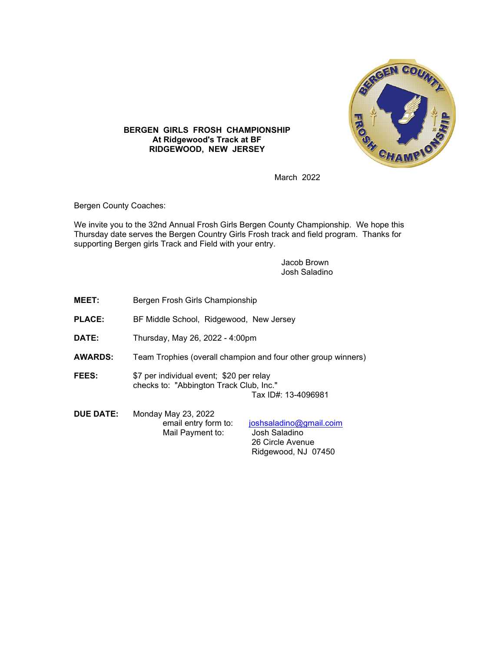

## **BERGEN GIRLS FROSH CHAMPIONSHIP At Ridgewood's Track at BF RIDGEWOOD, NEW JERSEY**

March 2022

Bergen County Coaches:

We invite you to the 32nd Annual Frosh Girls Bergen County Championship. We hope this Thursday date serves the Bergen Country Girls Frosh track and field program. Thanks for supporting Bergen girls Track and Field with your entry.

> Jacob Brown Josh Saladino

| <b>MEET:</b>     | Bergen Frosh Girls Championship                                                                            |                                                                                     |  |
|------------------|------------------------------------------------------------------------------------------------------------|-------------------------------------------------------------------------------------|--|
| <b>PLACE:</b>    | BF Middle School, Ridgewood, New Jersey                                                                    |                                                                                     |  |
| DATE:            | Thursday, May 26, 2022 - 4:00pm                                                                            |                                                                                     |  |
| <b>AWARDS:</b>   | Team Trophies (overall champion and four other group winners)                                              |                                                                                     |  |
| <b>FEES:</b>     | \$7 per individual event; \$20 per relay<br>checks to: "Abbington Track Club, Inc."<br>Tax ID#: 13-4096981 |                                                                                     |  |
| <b>DUE DATE:</b> | Monday May 23, 2022<br>email entry form to:<br>Mail Payment to:                                            | joshsaladino@gmail.coim<br>Josh Saladino<br>26 Circle Avenue<br>Ridgewood, NJ 07450 |  |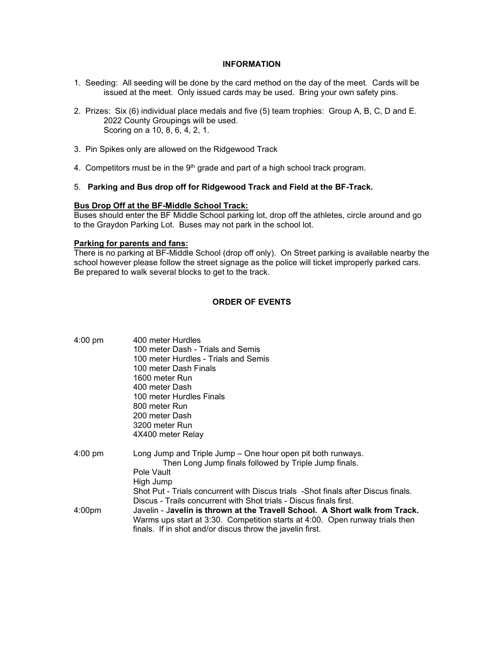#### **INFORMATION**

- 1. Seeding: All seeding will be done by the card method on the day of the meet. Cards will be issued at the meet. Only issued cards may be used. Bring your own safety pins.
- 2. Prizes: Six (6) individual place medals and five (5) team trophies: Group A, B, C, D and E. 2022 County Groupings will be used. Scoring on a 10, 8, 6, 4, 2, 1.
- 3. Pin Spikes only are allowed on the Ridgewood Track
- 4. Competitors must be in the  $9<sup>th</sup>$  grade and part of a high school track program.

#### 5. **Parking and Bus drop off for Ridgewood Track and Field at the BF-Track.**

#### **Bus Drop Off at the BF-Middle School Track:**

Buses should enter the BF Middle School parking lot, drop off the athletes, circle around and go to the Graydon Parking Lot. Buses may not park in the school lot.

### **Parking for parents and fans:**

There is no parking at BF-Middle School (drop off only). On Street parking is available nearby the school however please follow the street signage as the police will ticket improperly parked cars. Be prepared to walk several blocks to get to the track.

### **ORDER OF EVENTS**

| $4:00 \text{ pm}$  | 400 meter Hurdles                                                                                                    |  |  |
|--------------------|----------------------------------------------------------------------------------------------------------------------|--|--|
|                    | 100 meter Dash - Trials and Semis<br>100 meter Hurdles - Trials and Semis                                            |  |  |
|                    |                                                                                                                      |  |  |
|                    | 100 meter Dash Finals                                                                                                |  |  |
|                    | 1600 meter Run                                                                                                       |  |  |
|                    | 400 meter Dash                                                                                                       |  |  |
|                    | 100 meter Hurdles Finals                                                                                             |  |  |
|                    | 800 meter Run                                                                                                        |  |  |
|                    | 200 meter Dash.                                                                                                      |  |  |
|                    | 3200 meter Run                                                                                                       |  |  |
|                    | 4X400 meter Relay                                                                                                    |  |  |
| $4:00$ pm          | Long Jump and Triple Jump – One hour open pit both runways.<br>Then Long Jump finals followed by Triple Jump finals. |  |  |
|                    | Pole Vault                                                                                                           |  |  |
|                    | High Jump                                                                                                            |  |  |
|                    | Shot Put - Trials concurrent with Discus trials -Shot finals after Discus finals.                                    |  |  |
|                    | Discus - Trails concurrent with Shot trials - Discus finals first.                                                   |  |  |
| 4:00 <sub>pm</sub> | Javelin - Javelin is thrown at the Travell School. A Short walk from Track.                                          |  |  |
|                    | Warms ups start at 3:30. Competition starts at 4:00. Open runway trials then                                         |  |  |
|                    | finals. If in shot and/or discus throw the javelin first.                                                            |  |  |